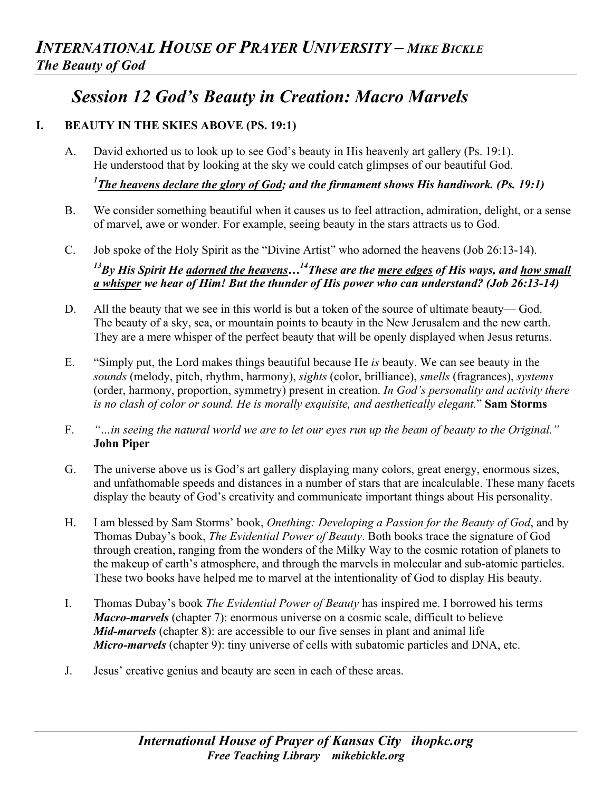## *Session 12 God's Beauty in Creation: Macro Marvels*

## **I. BEAUTY IN THE SKIES ABOVE (PS. 19:1)**

A. David exhorted us to look up to see God's beauty in His heavenly art gallery (Ps. 19:1). He understood that by looking at the sky we could catch glimpses of our beautiful God.

*1 The heavens declare the glory of God; and the firmament shows His handiwork. (Ps. 19:1)*

- B. We consider something beautiful when it causes us to feel attraction, admiration, delight, or a sense of marvel, awe or wonder. For example, seeing beauty in the stars attracts us to God.
- C. Job spoke of the Holy Spirit as the "Divine Artist" who adorned the heavens (Job 26:13-14). *13By His Spirit He adorned the heavens…14These are the mere edges of His ways, and how small a whisper we hear of Him! But the thunder of His power who can understand? (Job 26:13-14)*
- D. All the beauty that we see in this world is but a token of the source of ultimate beauty— God. The beauty of a sky, sea, or mountain points to beauty in the New Jerusalem and the new earth. They are a mere whisper of the perfect beauty that will be openly displayed when Jesus returns.
- E. "Simply put, the Lord makes things beautiful because He *is* beauty. We can see beauty in the *sounds* (melody, pitch, rhythm, harmony), *sights* (color, brilliance), *smells* (fragrances), *systems* (order, harmony, proportion, symmetry) present in creation. *In God's personality and activity there is no clash of color or sound. He is morally exquisite, and aesthetically elegant.*" **Sam Storms**
- F. *"…in seeing the natural world we are to let our eyes run up the beam of beauty to the Original."* **John Piper**
- G. The universe above us is God's art gallery displaying many colors, great energy, enormous sizes, and unfathomable speeds and distances in a number of stars that are incalculable. These many facets display the beauty of God's creativity and communicate important things about His personality.
- H. I am blessed by Sam Storms' book, *Onething: Developing a Passion for the Beauty of God*, and by Thomas Dubay's book, *The Evidential Power of Beauty*. Both books trace the signature of God through creation, ranging from the wonders of the Milky Way to the cosmic rotation of planets to the makeup of earth's atmosphere, and through the marvels in molecular and sub-atomic particles. These two books have helped me to marvel at the intentionality of God to display His beauty.
- I. Thomas Dubay's book *The Evidential Power of Beauty* has inspired me. I borrowed his terms *Macro-marvels* (chapter 7): enormous universe on a cosmic scale, difficult to believe *Mid-marvels* (chapter 8): are accessible to our five senses in plant and animal life *Micro-marvels* (chapter 9): tiny universe of cells with subatomic particles and DNA, etc.
- J. Jesus' creative genius and beauty are seen in each of these areas.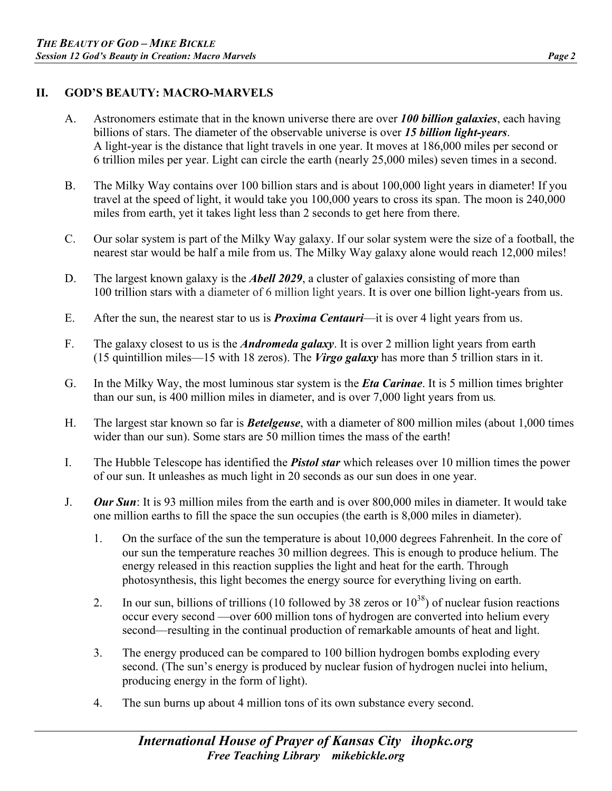## **II. GOD'S BEAUTY: MACRO-MARVELS**

- A. Astronomers estimate that in the known universe there are over *100 billion galaxies*, each having billions of stars. The diameter of the observable universe is over *15 billion light-years*. A light-year is the distance that light travels in one year. It moves at 186,000 miles per second or 6 trillion miles per year. Light can circle the earth (nearly 25,000 miles) seven times in a second.
- B. The Milky Way contains over 100 billion stars and is about 100,000 light years in diameter! If you travel at the speed of light, it would take you 100,000 years to cross its span. The moon is 240,000 miles from earth, yet it takes light less than 2 seconds to get here from there.
- C. Our solar system is part of the Milky Way galaxy. If our solar system were the size of a football, the nearest star would be half a mile from us. The Milky Way galaxy alone would reach 12,000 miles!
- D. The largest known galaxy is the *Abell 2029*, a cluster of galaxies consisting of more than 100 trillion stars with a diameter of 6 million light years. It is over one billion light-years from us.
- E. After the sun, the nearest star to us is *Proxima Centauri*—it is over 4 light years from us.
- F. The galaxy closest to us is the *Andromeda galaxy*. It is over 2 million light years from earth (15 quintillion miles—15 with 18 zeros). The *Virgo galaxy* has more than 5 trillion stars in it.
- G. In the Milky Way, the most luminous star system is the *Eta Carinae*. It is 5 million times brighter than our sun, is 400 million miles in diameter, and is over 7,000 light years from us*.*
- H. The largest star known so far is *Betelgeuse*, with a diameter of 800 million miles (about 1,000 times wider than our sun). Some stars are 50 million times the mass of the earth!
- I. The Hubble Telescope has identified the *Pistol star* which releases over 10 million times the power of our sun. It unleashes as much light in 20 seconds as our sun does in one year.
- J. *Our Sun*: It is 93 million miles from the earth and is over 800,000 miles in diameter. It would take one million earths to fill the space the sun occupies (the earth is 8,000 miles in diameter).
	- 1. On the surface of the sun the temperature is about 10,000 degrees Fahrenheit. In the core of our sun the temperature reaches 30 million degrees. This is enough to produce helium. The energy released in this reaction supplies the light and heat for the earth. Through photosynthesis, this light becomes the energy source for everything living on earth.
	- 2. In our sun, billions of trillions (10 followed by 38 zeros or  $10^{38}$ ) of nuclear fusion reactions occur every second —over 600 million tons of hydrogen are converted into helium every second—resulting in the continual production of remarkable amounts of heat and light.
	- 3. The energy produced can be compared to 100 billion hydrogen bombs exploding every second. (The sun's energy is produced by nuclear fusion of hydrogen nuclei into helium, producing energy in the form of light).
	- 4. The sun burns up about 4 million tons of its own substance every second.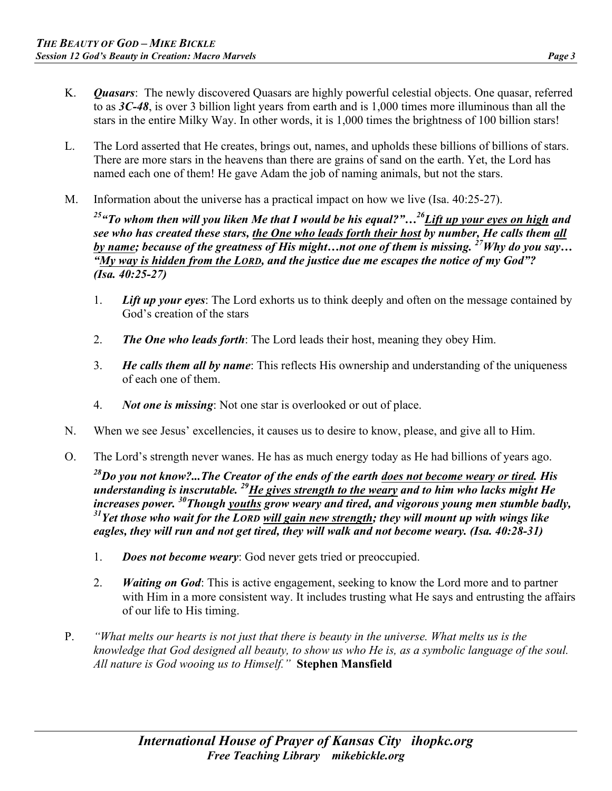- K. *Quasars*: The newly discovered Quasars are highly powerful celestial objects. One quasar, referred to as *3C-48*, is over 3 billion light years from earth and is 1,000 times more illuminous than all the stars in the entire Milky Way. In other words, it is 1,000 times the brightness of 100 billion stars!
- L. The Lord asserted that He creates, brings out, names, and upholds these billions of billions of stars. There are more stars in the heavens than there are grains of sand on the earth. Yet, the Lord has named each one of them! He gave Adam the job of naming animals, but not the stars.
- M. Information about the universe has a practical impact on how we live (Isa. 40:25-27).

*25"To whom then will you liken Me that I would be his equal?"…26Lift up your eyes on high and see who has created these stars, the One who leads forth their host by number, He calls them all by name; because of the greatness of His might…not one of them is missing. 27Why do you say… "My way is hidden from the LORD, and the justice due me escapes the notice of my God"? (Isa. 40:25-27)* 

- 1. *Lift up your eyes*: The Lord exhorts us to think deeply and often on the message contained by God's creation of the stars
- 2. *The One who leads forth*: The Lord leads their host, meaning they obey Him.
- 3. *He calls them all by name*: This reflects His ownership and understanding of the uniqueness of each one of them.
- 4. *Not one is missing*: Not one star is overlooked or out of place.
- N. When we see Jesus' excellencies, it causes us to desire to know, please, and give all to Him.
- O. The Lord's strength never wanes. He has as much energy today as He had billions of years ago.

*28Do you not know?...The Creator of the ends of the earth does not become weary or tired. His understanding is inscrutable. 29He gives strength to the weary and to him who lacks might He increases power. 30Though youths grow weary and tired, and vigorous young men stumble badly, 31Yet those who wait for the LORD will gain new strength; they will mount up with wings like eagles, they will run and not get tired, they will walk and not become weary. (Isa. 40:28-31)* 

- 1. *Does not become weary*: God never gets tried or preoccupied.
- 2. *Waiting on God*: This is active engagement, seeking to know the Lord more and to partner with Him in a more consistent way. It includes trusting what He says and entrusting the affairs of our life to His timing.
- P. *"What melts our hearts is not just that there is beauty in the universe. What melts us is the knowledge that God designed all beauty, to show us who He is, as a symbolic language of the soul. All nature is God wooing us to Himself."* **Stephen Mansfield**